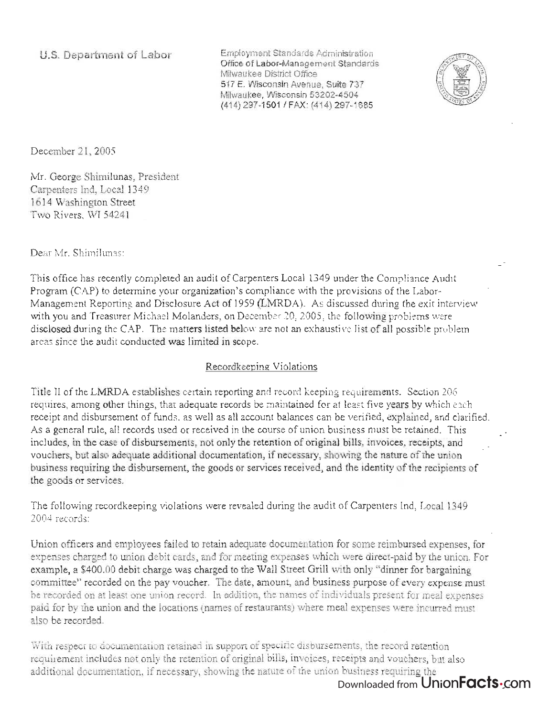Employment Standards Administration Office of Labor-Management Standards Milwaukee District Office 517 E. Wisconsin Avenue, Suite 737 Milwaukee, Wisconsin 53202-4504 (414) 297-1501 / FAX: (414) 297-1685



December 21, 2005

Mr. George Shimilunas, President Carpenters Ind, Local 1349 1614 Washington Street Two Rivers, WI 54241

Dear Mr. Shimilunas:

This office has recently completed an audit of Carpenters Local 1349 under the Compliance Audit Program (CAP) to determine your organization's compliance with the provisions of the Labor-Management Reporting and Disclosure Act of 1959 (LMRDA). As discussed during the exit interview with you and Treasurer Michael Malanders, on December 20,2005, the following problems were disclosed during the CAP. The matters listed below are not an exhaustive list of all possible problem areas since the audit conducted was limited in scope.

## Recordkeeping Violations

Title II of the LMRDA establishes certain reporting and record keeping requirements. Section 206 requires, among other things, that adequate records be maintained for at least five years by which each receipt and disbursement of funds, as well as all account balances can be verified, explained, and clarified. As a general rule, all records used or received in the course of union business must be retained. This includes, in the case of disbursements, not only the retention of original bills, invoices, receipts, and vouchers, but also adequate additional documentation, if necessary, showing the nature of the union business requiring the disbursement, the goods or services received, and the identity of the recipients of the goods or services.

The following recordkeeping violations were revealed during the audit of Carpenters Ind, Local 1349 2004 records:

Union officers and employees failed to retain adequate documentation for some reimbursed expenses, for expenses charged to union debit cards, and for meeting expenses which were direct-paid by the union. For example, a £400.00 debit charge was charged to the Wall Street Grill with only "dinner for bargaining committee" recorded on the pay voucher. The date, amount, and business purpose of every expense must be recorded on at least one union record. In addition, the names of individuals present for meal expenses paid for by the union and the locations (names of restaurants) where meal expenses were incurred must also be recorded.

With respect to documentation retained in support of specific disbursements, the record retention requirement includes not only the retention of original bills, invoices, receipts and vouchers, but also additional documentation, if necessary, showing the nature of the union business requiring the

# Downloaded from UnionFacts.com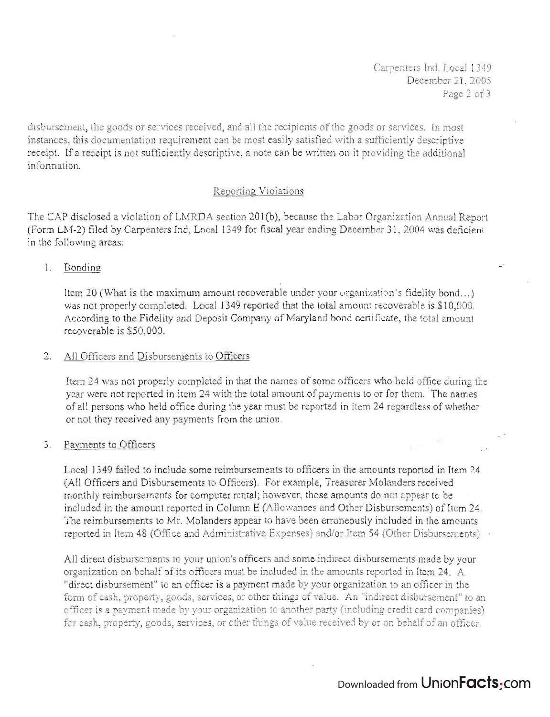Carpenters Ind, Local 1349 December 21 , 2005 Page 2 of 3

disbursement, the goods or services received, and all the recipients of the goods or services. In most instances, this documentation requirement can be most easily satisfied with a sufficiently descriptive receipt. If a receipt is not sufficiently descriptive, a note can be written on it providing the additional information.

## Reporting: Violations

The CAP disclosed a violation of LMRDA section 201(b), because the Labor Organization Annual Report (Form LM-2) filed by Carpenters Ind, Local 1349 for fiscal year ending December 31, 2004 was deficient in the following areas:

1. Bonding

Item 20 (What is the maximum amount recoverable under your organization's fidelity bond ... ) was not properly completed. Local 1349 reported that the total amount recoverable is \$10,000. According to the Fidelity and Deposit Company of Maryland bond certificate, the total amount recoverable is \$50,000.

### 2. All Officers and Disbursements to Officers

Item 24 was not properly completed in that the names of some officers who held office during the year were not reported in item 24 with the total amount of payments to or for them. The names of all persons who held office during the year must be reported in item 24 regardless of whether or not they received any payments from the union .

#### 3. Payments to Officers

Local 1349 failed to include some reimbursements to officers in the amounts reported in Item 24 (All Officers and Disbursements to Officers). For example, Treasurer Molanders received monthly reimbursements for computer rental; however, those amounts do not appear to be included in the amount reported in Column E (Allowances and Other Disbursements) of Item 24. The reimbursements to Mr. Molanders appear to have been erroneously included in the amounts reported in Item 48 (Office and Administrative Expenses) and/or Item 54 (Other Disbursements). .

All direct disbursements to your union's officers and some indirect disbursements made by your organization on behalf of its officers must be included in the amounts reported in Item 24. A "direct disbursement" to an officer is a payment made by your organization to an officer in the form of cash, property, goods, services, or other things of value. An "indirect disbursement" to an officer is a payment made by your organization to another party (including credit card companies) for cash, property, goods, services, or other things of value received by or on behalf of an officer.